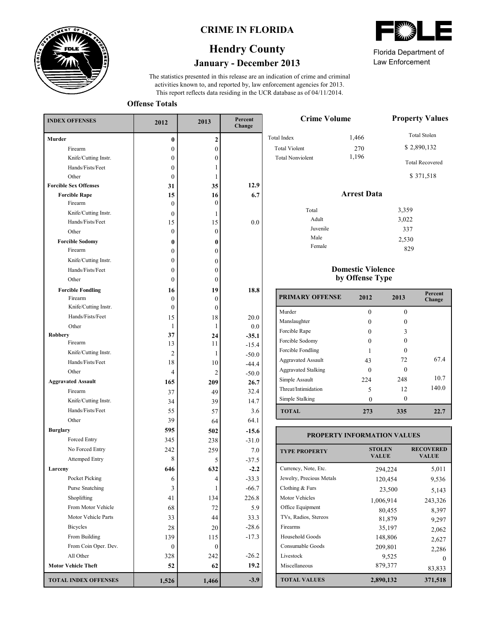

### **CRIME IN FLORIDA**

# **January - December 2013 Hendry County**

This report reflects data residing in the UCR database as of 04/11/2014. activities known to, and reported by, law enforcement agencies for 2013. The statistics presented in this release are an indication of crime and criminal

**Offense Totals**

| <b>INDEX OFFENSES</b>             | 2012             | 2013             | Percent<br>Change  |  |
|-----------------------------------|------------------|------------------|--------------------|--|
| <b>Murder</b>                     | 0                | 2                |                    |  |
| Firearm                           | $\boldsymbol{0}$ | $\mathbf{0}$     |                    |  |
| Knife/Cutting Instr.              | $\theta$         | 0                |                    |  |
| Hands/Fists/Feet                  | $\theta$         | 1                |                    |  |
| Other                             | $\boldsymbol{0}$ | 1                |                    |  |
| <b>Forcible Sex Offenses</b>      | 31               | 35               | 12.9               |  |
| <b>Forcible Rape</b>              | 15               | 16               | 6.7                |  |
| Firearm                           | 0                | 0                |                    |  |
| Knife/Cutting Instr.              | $\theta$         | 1                |                    |  |
| Hands/Fists/Feet                  | 15               | 15               | 0.0                |  |
| Other                             | $\boldsymbol{0}$ | $\boldsymbol{0}$ |                    |  |
| <b>Forcible Sodomy</b><br>Firearm | 0                | 0                |                    |  |
|                                   | $\boldsymbol{0}$ | 0                |                    |  |
| Knife/Cutting Instr.              | $\boldsymbol{0}$ | 0                |                    |  |
| Hands/Fists/Feet                  | $\boldsymbol{0}$ | 0                |                    |  |
| Other                             | $\theta$         | 0                |                    |  |
| <b>Forcible Fondling</b>          | 16               | 19               | 18.8               |  |
| Firearm<br>Knife/Cutting Instr.   | $\theta$         | 0                |                    |  |
| Hands/Fists/Feet                  | $\theta$         | $\boldsymbol{0}$ |                    |  |
|                                   | 15               | 18               | 20.0               |  |
| Other<br><b>Robbery</b>           | 1<br>37          | 1                | 0.0                |  |
| Firearm                           | 13               | 24<br>11         | $-35.1$<br>$-15.4$ |  |
| Knife/Cutting Instr.              | 2                | 1                | $-50.0$            |  |
| Hands/Fists/Feet                  | 18               | 10               | $-44.4$            |  |
| Other                             | 4                | 2                | $-50.0$            |  |
| <b>Aggravated Assault</b>         | 165              | 209              | 26.7               |  |
| Firearm                           | 37               | 49               | 32.4               |  |
| Knife/Cutting Instr.              | 34               | 39               | 14.7               |  |
| Hands/Fists/Feet                  | 55               | 57               | 3.6                |  |
| Other                             | 39               | 64               | 64.1               |  |
| <b>Burglary</b>                   | 595              | 502              | $-15.6$            |  |
| Forced Entry                      | 345              | 238              | $-31.0$            |  |
| No Forced Entry                   | 242              | 259              | 7.0                |  |
| <b>Attemped Entry</b>             | 8                | 5                | $-37.5$            |  |
| Larceny                           | 646              | 632              | $-2.2$             |  |
| Pocket Picking                    | 6                | 4                | $-33.3$            |  |
| Purse Snatching                   | 3                | 1                | $-66.7$            |  |
| Shoplifting                       | 41               | 134              | 226.8              |  |
| From Motor Vehicle                | 68               | 72               | 5.9                |  |
| Motor Vehicle Parts               | 33               | 44               | 33.3               |  |
| <b>Bicycles</b>                   | 28               | 20               | $-28.6$            |  |
| From Building                     | 139              | 115              | $-17.3$            |  |
| From Coin Oper. Dev.              | 0                | 0                |                    |  |
| All Other                         | 328              | 242              | $-26.2$            |  |
| <b>Motor Vehicle Theft</b>        | 52               | 62               | 19.2               |  |
|                                   |                  |                  |                    |  |
| <b>TOTAL INDEX OFFENSES</b>       | 1,526            | 1,466            | $-3.9$             |  |

Law Enforcement Florida Department of

> 337 2,530 829

| <b>Crime Volume</b>     | <b>Property Values</b> |                                     |
|-------------------------|------------------------|-------------------------------------|
| <b>Total Index</b>      | 1,466                  | <b>Total Stolen</b>                 |
| <b>Total Violent</b>    | 270                    | \$2,890,132                         |
| <b>Total Nonviolent</b> | 1,196                  | <b>Total Recovered</b><br>\$371,518 |
|                         | <b>Arrest Data</b>     |                                     |
| Total                   |                        | 3,359                               |
| Adult                   |                        | 3.022                               |

### **Domestic Violence by Offense Type**

Juvenile Male Female

| <b>PRIMARY OFFENSE</b>     | 2012     | 2013     | Percent<br>Change |
|----------------------------|----------|----------|-------------------|
| Murder                     | 0        | 0        |                   |
| Manslaughter               | $\Omega$ |          |                   |
| Forcible Rape              | $\Omega$ | ٩        |                   |
| Forcible Sodomy            |          | $\Omega$ |                   |
| Forcible Fondling          |          | ∩        |                   |
| <b>Aggravated Assault</b>  | 43       | 72       | 67.4              |
| <b>Aggravated Stalking</b> | $\Omega$ |          |                   |
| Simple Assault             | 224      | 248      | 10.7              |
| Threat/Intimidation        | 5        | 12       | 140.0             |
| Simple Stalking            |          | $\Omega$ |                   |
| <b>TOTAL</b>               | 273      | 335      | 22.7              |

#### **TOTAL VALUES VALUE VALUE TYPE PROPERTY STOLEN RECOVERED PROPERTY INFORMATION VALUES** Currency, Note, Etc. Jewelry, Precious Metals Clothing & Furs Motor Vehicles Office Equipment TVs, Radios, Stereos Firearms Household Goods Consumable Goods Livestock Miscellaneous 294,224 5,011 120,454 9,536 23,500 5,143 1,006,914 243,326 80,455 8,397 81,879 9,297<br>35,197 2,062 2,062 148,806 2,627 209,801 2,286 9,525 0<br>879,377 92.923 83,833 **2,890,132 371,518**